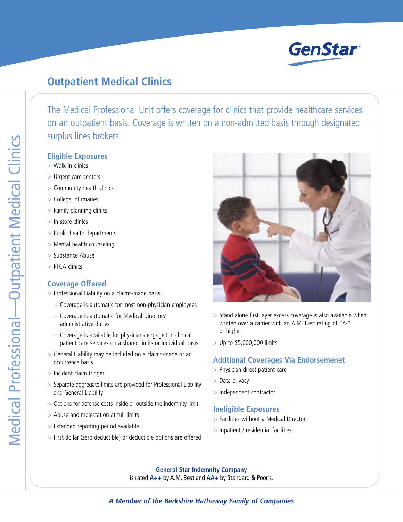

# **Outpatient Medical Clinics**

The Medical Professional Unit offers coverage for clinics that provide healthcare services on an outpatient basis. Coverage is written on a non-admitted basis through designated surplus lines brokers.

#### **Eligible Exposures**

- > Walk-in clinics
- > Urgent care centers
- > Community health clinics
- > College infirmaries
- > Family planning clinics
- > In-store clinics
- > Public health departments
- > Mental health counseling
- > Substance Abuse
- > FTCA clinics

## **Coverage Offered**

- > Professional Liability on a claims-made basis:
	- Coverage is automatic for most non-physician employees
	- Coverage is automatic for Medical Directors' administrative duties
	- Coverage is available for physicians engaged in clinical patient care services on a shared limits or individual basis
- > General Liability may be included on a claims-made or an occurrence basis
- > Incident claim trigger
- > Separate aggregate limits are provided for Professional Liability and General Liability
- > Options for defense costs inside or outside the indemnity limit
- > Abuse and molestation at full limits
- > Extended reporting period available
- > First dollar (zero deductible) or deductible options are offered



- > Stand alone first layer excess coverage is also available when written over a carrier with an A.M. Best rating of "A-" or higher
- > Up to \$5,000,000 limits

## **Addtional Coverages Via Endorsemenet**

- > Physician direct patient care
- > Data privacy
- > Independent contractor

#### **Ineligible Exposures**

- > Facilities without a Medical Director
- > Inpatient / residential facilities

**General Star Indemnity Company** is rated **A++** by A.M. Best and **AA+** by Standard & Poor's.